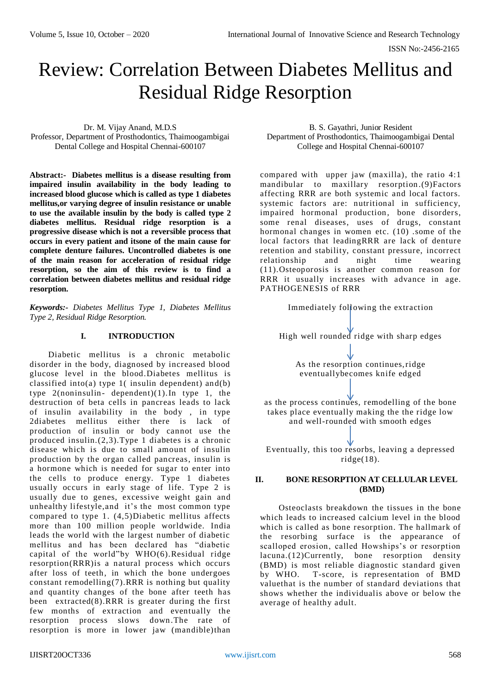ISSN No:-2456-2165

# Review: Correlation Between Diabetes Mellitus and Residual Ridge Resorption

Dr. M. Vijay Anand, M.D.S

Professor, Department of Prosthodontics, Thaimoogambigai Dental College and Hospital Chennai-600107

**Abstract:- Diabetes mellitus is a disease resulting from impaired insulin availability in the body leading to increased blood glucose which is called as type 1 diabetes mellitus,or varying degree of insulin resistance or unable to use the available insulin by the body is called type 2 diabetes mellitus. Residual ridge resorption is a progressive disease which is not a reversible process that occurs in every patient and itsone of the main cause for complete denture failures. Uncontrolled diabetes is one of the main reason for acceleration of residual ridge resorption, so the aim of this review is to find a correlation between diabetes mellitus and residual ridge resorption.**

*Keywords:- Diabetes Mellitus Type 1, Diabetes Mellitus Type 2, Residual Ridge Resorption.*

# **I. INTRODUCTION**

Diabetic mellitus is a chronic metabolic disorder in the body, diagnosed by increased blood glucose level in the blood.Diabetes mellitus is classified into(a) type 1( insulin dependent) an d(b) type 2(noninsulin- dependent)(1).In type 1, the destruction of beta cells in pancreas leads to lack of insulin availability in the body , in type 2diabetes mellitus either there is lack of production of insulin or body cannot use the produced insulin.(2,3).Type 1 diabetes is a chronic disease which is due to small amount of insulin production by the organ called pancreas, insulin is a hormone which is needed for sugar to enter into the cells to produce energy. Type 1 diabetes usually occurs in early stage of life. Type 2 is usually due to genes, excessive weight gain and unhealthy lifestyle,and it's the most common type compared to type 1. (4,5)Diabetic mellitus affects more than 100 million people worldwide. India leads the world with the largest number of diabetic mellitus and has been declared has "diabetic capital of the world"by WHO(6).Residual ridge resorption(RRR)is a natural process which occurs after loss of teeth, in which the bone undergoes constant remodelling(7). RRR is nothing but quality and quantity changes of the bone after teeth has been extracted(8).RRR is greater during the first few months of extraction and eventually the resorption process slows down .The rate of resorption is more in lower jaw (mandible)than

B. S. Gayathri, Junior Resident Department of Prosthodontics, Thaimoogambigai Dental College and Hospital Chennai-600107

compared with upper jaw (maxilla), the ratio 4:1 mandibular to maxillary resorption .(9)Factors affecting RRR are both systemic and local factors. systemic factors are: nutritional in sufficiency, impaired hormonal production, bone disorders, some renal diseases, uses of drugs, constant hormonal changes in women etc. (10) .some of the local factors that leadingRRR are lack of denture retention and stability, constant pressure, incorrect relationship and night time wearing (11).Osteoporosis is another common reason for RRR it usually increases with advance in age. PATHOGENESIS of RRR



#### **II. BONE RESORPTION AT CELLULAR LEVEL (BMD)**

Osteoclasts breakdown the tissues in the bone which leads to increased calcium level in the blood which is called as bone resorption. The hallmark of the resorbing surface is the appearance of scalloped erosion, called Howships's or resorption lacuna.(12)Currently, bone resorption density (BMD) is most reliable diagnostic standard given by WHO. T-score, is representation of BMD valuethat is the number of standard deviations that shows whether the individualis above or below the average of healthy adult.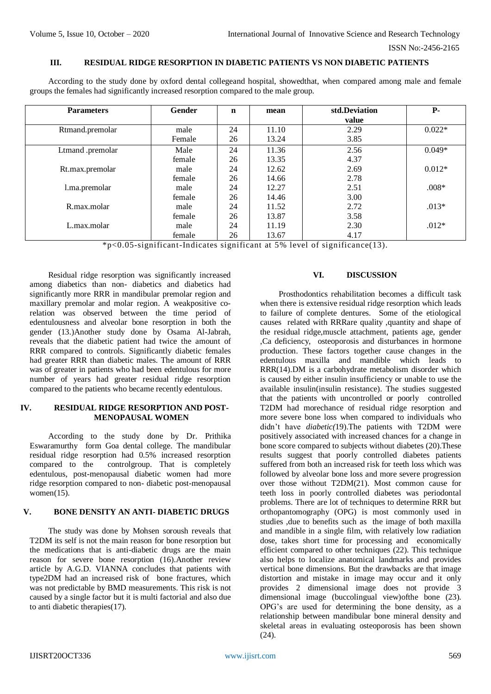#### **III. RESIDUAL RIDGE RESORPTION IN DIABETIC PATIENTS VS NON DIABETIC PATIENTS**

According to the study done by oxford dental collegeand hospital, showedthat, when compared among male and female groups the females had significantly increased resorption compared to the male group.

| <b>Parameters</b> | Gender | $\mathbf n$ | mean  | std.Deviation | <b>P-</b> |
|-------------------|--------|-------------|-------|---------------|-----------|
|                   |        |             |       | value         |           |
| Rtmand.premolar   | male   | 24          | 11.10 | 2.29          | $0.022*$  |
|                   | Female | 26          | 13.24 | 3.85          |           |
| Ltmand.premolar   | Male   | 24          | 11.36 | 2.56          | $0.049*$  |
|                   | female | 26          | 13.35 | 4.37          |           |
| Rt.max.premolar   | male   | 24          | 12.62 | 2.69          | $0.012*$  |
|                   | female | 26          | 14.66 | 2.78          |           |
| l.ma.premolar     | male   | 24          | 12.27 | 2.51          | $.008*$   |
|                   | female | 26          | 14.46 | 3.00          |           |
| R.max.molar       | male   | 24          | 11.52 | 2.72          | $.013*$   |
|                   | female | 26          | 13.87 | 3.58          |           |
| L.max.molar       | male   | 24          | 11.19 | 2.30          | $.012*$   |
|                   | female | 26          | 13.67 | 4.17          |           |

\*p<0.05-significant-Indicates significant at 5% level of significance(13).

Residual ridge resorption was significantly increased among diabetics than non- diabetics and diabetics had significantly more RRR in mandibular premolar region and maxillary premolar and molar region. A weakpositive corelation was observed between the time period of edentulousness and alveolar bone resorption in both the gender (13.)Another study done by Osama Al-Jabrah, reveals that the diabetic patient had twice the amount of RRR compared to controls. Significantly diabetic females had greater RRR than diabetic males. The amount of RRR was of greater in patients who had been edentulous for more number of years had greater residual ridge resorption compared to the patients who became recently edentulous.

### **IV. RESIDUAL RIDGE RESORPTION AND POST-MENOPAUSAL WOMEN**

According to the study done by Dr. Prithika Eswaramurthy form Goa dental college. The mandibular residual ridge resorption had 0.5% increased resorption compared to the controlgroup. That is completely edentulous, post-menopausal diabetic women had more ridge resorption compared to non- diabetic post-menopausal women $(15)$ .

# **V. BONE DENSITY AN ANTI- DIABETIC DRUGS**

The study was done by Mohsen soroush reveals that T2DM its self is not the main reason for bone resorption but the medications that is anti-diabetic drugs are the main reason for severe bone resorption (16).Another review article by A.G.D. VIANNA concludes that patients with type2DM had an increased risk of bone fractures, which was not predictable by BMD measurements. This risk is not caused by a single factor but it is multi factorial and also due to anti diabetic therapies(17).

# **VI. DISCUSSION**

Prosthodontics rehabilitation becomes a difficult task when there is extensive residual ridge resorption which leads to failure of complete dentures. Some of the etiological causes related with RRRare quality ,quantity and shape of the residual ridge,muscle attachment, patients age, gender ,Ca deficiency, osteoporosis and disturbances in hormone production. These factors together cause changes in the edentulous maxilla and mandible which leads to RRR(14).DM is a carbohydrate metabolism disorder which is caused by either insulin insufficiency or unable to use the available insulin(insulin resistance). The studies suggested that the patients with uncontrolled or poorly controlled T2DM had morechance of residual ridge resorption and more severe bone loss when compared to individuals who didn't have *diabetic(*19).The patients with T2DM were positively associated with increased chances for a change in bone score compared to subjects without diabetes (20).These results suggest that poorly controlled diabetes patients suffered from both an increased risk for teeth loss which was followed by alveolar bone loss and more severe progression over those without T2DM(21). Most common cause for teeth loss in poorly controlled diabetes was periodontal problems. There are lot of techniques to determine RRR but orthopantomography (OPG) is most commonly used in studies ,due to benefits such as the image of both maxilla and mandible in a single film, with relatively low radiation dose, takes short time for processing and economically efficient compared to other techniques (22). This technique also helps to localize anatomical landmarks and provides vertical bone dimensions. But the drawbacks are that image distortion and mistake in image may occur and it only provides 2 dimensional image does not provide 3 dimensional image (buccolingual view)ofthe bone (23). OPG's are used for determining the bone density, as a relationship between mandibular bone mineral density and skeletal areas in evaluating osteoporosis has been shown (24).